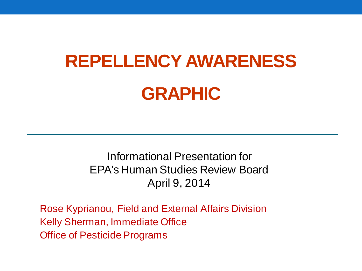# **REPELLENCY AWARENESS GRAPHIC**

Informational Presentation for EPA's Human Studies Review Board April 9, 2014

Rose Kyprianou, Field and External Affairs Division Kelly Sherman, Immediate Office Office of Pesticide Programs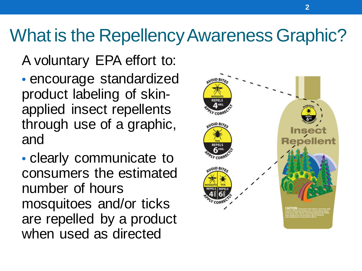#### What is the Repellency Awareness Graphic?

A voluntary EPA effort to:

• encourage standardized product labeling of skinapplied insect repellents through use of a graphic, and

• clearly communicate to consumers the estimated number of hours mosquitoes and/or ticks are repelled by a product when used as directed

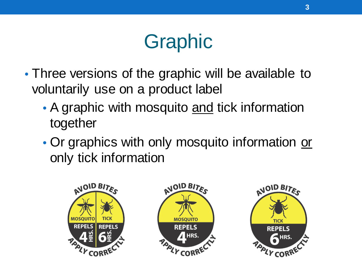## Graphic

- Three versions of the graphic will be available to voluntarily use on a product label
	- A graphic with mosquito and tick information together
	- Or graphics with only mosquito information or only tick information

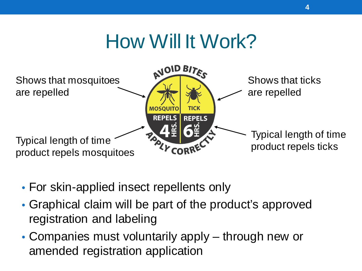#### How Will It Work?



- For skin-applied insect repellents only
- Graphical claim will be part of the product's approved registration and labeling
- Companies must voluntarily apply through new or amended registration application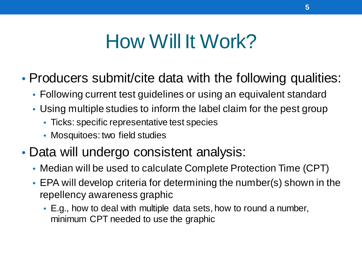#### How Will It Work?

#### • Producers submit/cite data with the following qualities:

- Following current test guidelines or using an equivalent standard
- Using multiple studies to inform the label claim for the pest group
	- Ticks: specific representative test species
	- Mosquitoes: two field studies
- Data will undergo consistent analysis:
	- Median will be used to calculate Complete Protection Time (CPT)
	- EPA will develop criteria for determining the number(s) shown in the repellency awareness graphic
		- E.g., how to deal with multiple data sets, how to round a number, minimum CPT needed to use the graphic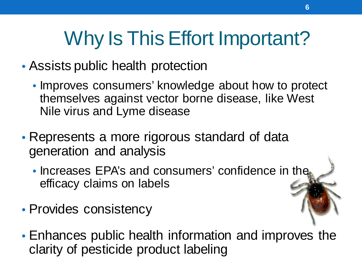# Why Is This Effort Important?

- Assists public health protection
	- Improves consumers' knowledge about how to protect themselves against vector borne disease, like West Nile virus and Lyme disease
- Represents a more rigorous standard of data generation and analysis
	- Increases EPA's and consumers' confidence in the efficacy claims on labels
- Provides consistency
- Enhances public health information and improves the clarity of pesticide product labeling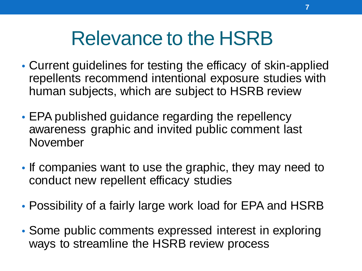#### Relevance to the HSRB

- Current guidelines for testing the efficacy of skin-applied repellents recommend intentional exposure studies with human subjects, which are subject to HSRB review
- EPA published guidance regarding the repellency awareness graphic and invited public comment last November
- If companies want to use the graphic, they may need to conduct new repellent efficacy studies
- Possibility of a fairly large work load for EPA and HSRB
- Some public comments expressed interest in exploring ways to streamline the HSRB review process